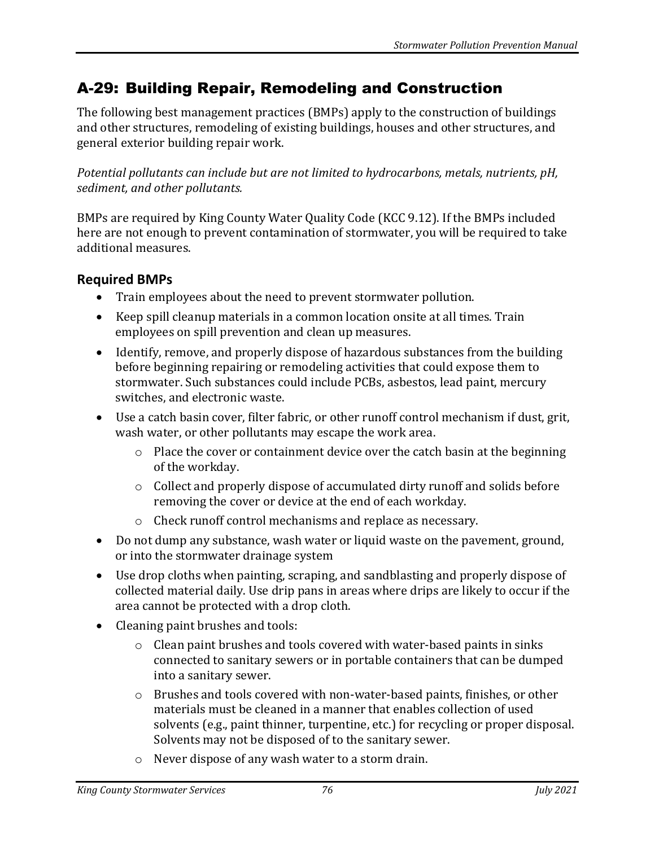# A-29: Building Repair, Remodeling and Construction

The following best management practices (BMPs) apply to the construction of buildings and other structures, remodeling of existing buildings, houses and other structures, and general exterior building repair work.

*Potential pollutants can include but are not limited to hydrocarbons, metals, nutrients, pH, sediment, and other pollutants.*

BMPs are required by King County Water Quality Code (KCC 9.12). If the BMPs included here are not enough to prevent contamination of stormwater, you will be required to take additional measures.

### **Required BMPs**

- Train employees about the need to prevent stormwater pollution.
- Keep spill cleanup materials in a common location onsite at all times. Train employees on spill prevention and clean up measures.
- Identify, remove, and properly dispose of hazardous substances from the building before beginning repairing or remodeling activities that could expose them to stormwater. Such substances could include PCBs, asbestos, lead paint, mercury switches, and electronic waste.
- Use a catch basin cover, filter fabric, or other runoff control mechanism if dust, grit, wash water, or other pollutants may escape the work area.
	- o Place the cover or containment device over the catch basin at the beginning of the workday.
	- o Collect and properly dispose of accumulated dirty runoff and solids before removing the cover or device at the end of each workday.
	- o Check runoff control mechanisms and replace as necessary.
- Do not dump any substance, wash water or liquid waste on the pavement, ground, or into the stormwater drainage system
- Use drop cloths when painting, scraping, and sandblasting and properly dispose of collected material daily. Use drip pans in areas where drips are likely to occur if the area cannot be protected with a drop cloth.
- Cleaning paint brushes and tools:
	- o Clean paint brushes and tools covered with water-based paints in sinks connected to sanitary sewers or in portable containers that can be dumped into a sanitary sewer.
	- o Brushes and tools covered with non-water-based paints, finishes, or other materials must be cleaned in a manner that enables collection of used solvents (e.g., paint thinner, turpentine, etc.) for recycling or proper disposal. Solvents may not be disposed of to the sanitary sewer.
	- o Never dispose of any wash water to a storm drain.